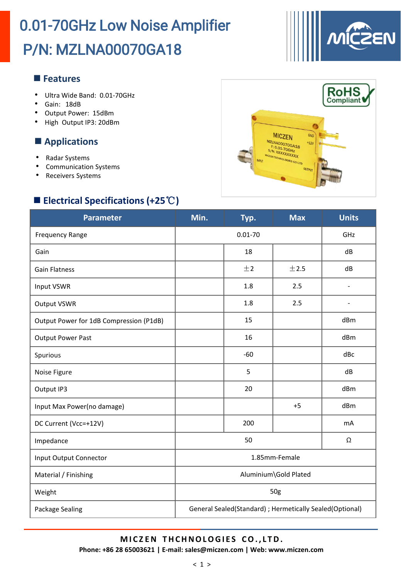

**RoHS**<br>Compliant

 $\overline{\mathbf{c}}$ 

GND

**MICZEN** 

**MZI NAC** 

#### **Features**

- Ultra Wide Band: 0.01-70GHz
- Gain: 18dB
- Output Power: 15dBm
- High Output IP3: 20dBm

#### **Applications**

- Radar S
- Comm
- **Receiv**

### ■ Electr

| $-$ , provided the set of $\sim$<br>$\bullet$<br>Radar Systems<br><b>Communication Systems</b><br>$\bullet$<br><b>Receivers Systems</b><br>٠ |               |             | <b>SLADUTUC</b><br>F: 0.01-70GHz<br>S/N: XXXXXXXXXX<br><b>CZEN TECHNOLOGIES CO LTD</b><br>OUTPUT |              |
|----------------------------------------------------------------------------------------------------------------------------------------------|---------------|-------------|--------------------------------------------------------------------------------------------------|--------------|
| Electrical Specifications (+25 $\degree$ C)<br><b>Parameter</b>                                                                              | Min.          | Typ.        | <b>Max</b>                                                                                       | <b>Units</b> |
| <b>Frequency Range</b>                                                                                                                       |               | $0.01 - 70$ |                                                                                                  | GHz          |
| Gain                                                                                                                                         |               | 18          |                                                                                                  | dB           |
| Gain Flatness                                                                                                                                |               | ±2          | ±2.5                                                                                             | dB           |
| Input VSWR                                                                                                                                   |               | 1.8         | 2.5                                                                                              |              |
| Output VSWR                                                                                                                                  |               | 1.8         | 2.5                                                                                              |              |
| Output Power for 1dB Compression (P1dB)                                                                                                      |               | 15          |                                                                                                  | dBm          |
| <b>Output Power Past</b>                                                                                                                     |               | 16          |                                                                                                  | dBm          |
| Spurious                                                                                                                                     |               | $-60$       |                                                                                                  | dBc          |
| Noise Figure                                                                                                                                 |               | 5           |                                                                                                  | dB           |
| Output IP3                                                                                                                                   |               | 20          |                                                                                                  | dBm          |
| Input Max Power(no damage)                                                                                                                   |               |             | $+5$                                                                                             | dBm          |
| DC Current (Vcc=+12V)                                                                                                                        |               | 200         |                                                                                                  | mA           |
| Impedance                                                                                                                                    |               | 50          |                                                                                                  | Ω            |
| <b>Input Output Connector</b>                                                                                                                | 1.85mm-Female |             |                                                                                                  |              |

Input Outp Material / Finishing Aluminium\Gold Plated Weight 50g Package Sealing Fundace Sealing Ceneral Sealed(Standard) ; Hermetically Sealed(Optional)

## **M I C Z EN T HCHNOLOGI E S CO. , L TD.**

**Phone: +86 28 65003621 | E-mail: sales@miczen.com | Web: www.miczen.com**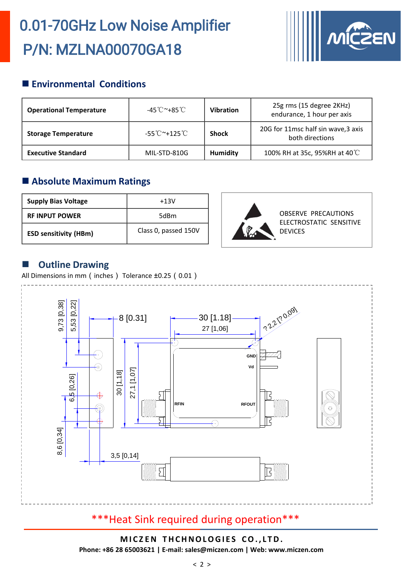

### **Environmental Conditions**

| <b>Operational Temperature</b> | -45℃~+85℃    | <b>Vibration</b> | 25g rms (15 degree 2KHz)<br>endurance, 1 hour per axis |
|--------------------------------|--------------|------------------|--------------------------------------------------------|
| <b>Storage Temperature</b>     | -55℃~+125℃   | <b>Shock</b>     | 20G for 11msc half sin wave, 3 axis<br>both directions |
| <b>Executive Standard</b>      | MIL-STD-810G | Humidity         | 100% RH at 35c, 95%RH at 40°C                          |

### **Absolute Maximum Ratings**

| <b>Supply Bias Voltage</b>   | $+13V$               |
|------------------------------|----------------------|
| <b>RF INPUT POWER</b>        | 5dBm                 |
| <b>ESD sensitivity (HBm)</b> | Class 0, passed 150V |



#### **Outline Drawing**

All Dimensions in mm (inches) Tolerance ±0.25 (0.01)



### \*\*\*Heat Sink required during operation\*\*\*

**M I C Z EN T HCHNOLOGI E S CO. , L TD. Phone: +86 28 65003621 | E-mail: sales@miczen.com | Web: www.miczen.com**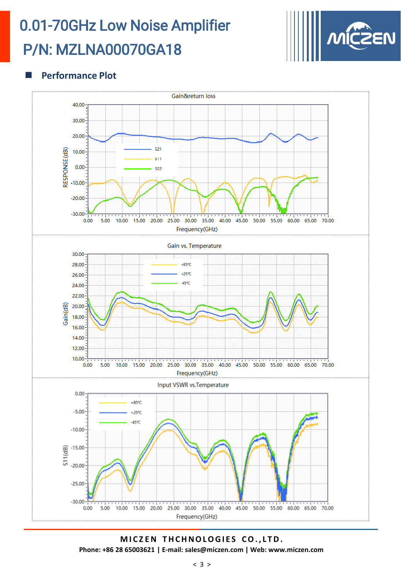

#### **Performance Plot**



**M I C Z EN T HCHNOLOGI E S CO. , L TD. Phone: +86 28 65003621 | E-mail: sales@miczen.com | Web: www.miczen.com**